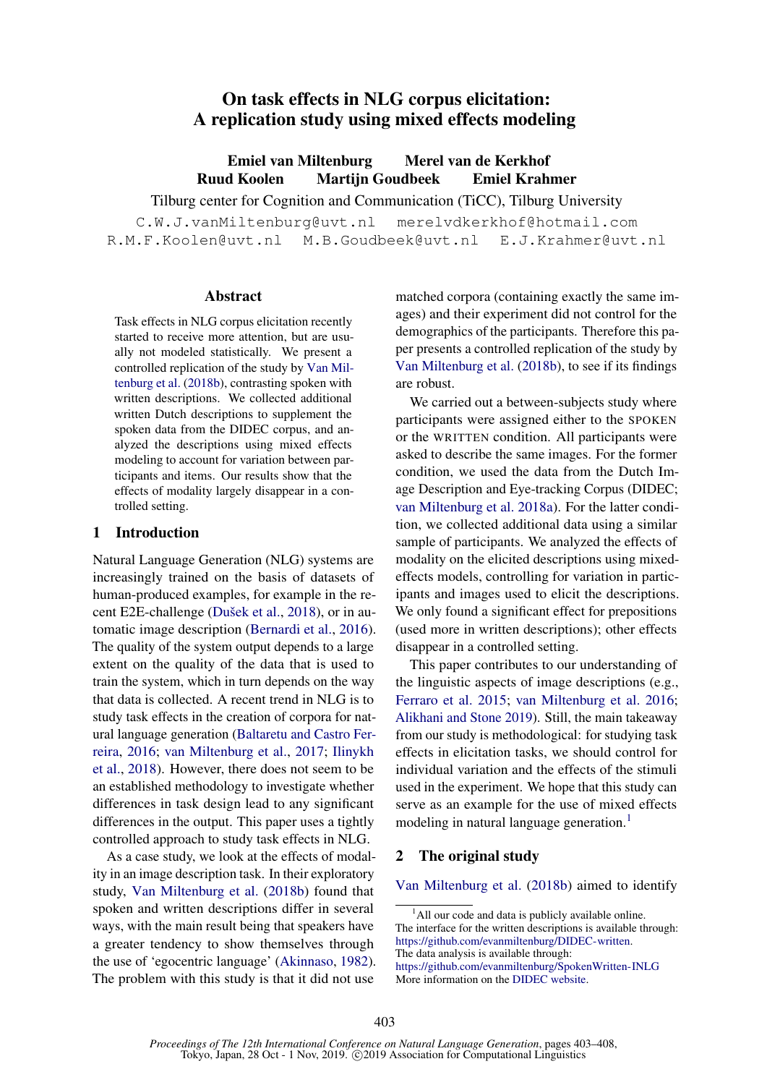# On task effects in NLG corpus elicitation: A replication study using mixed effects modeling

Emiel van Miltenburg Merel van de Kerkhof Ruud Koolen Martijn Goudbeek Emiel Krahmer

Tilburg center for Cognition and Communication (TiCC), Tilburg University

C.W.J.vanMiltenburg@uvt.nl merelvdkerkhof@hotmail.com R.M.F.Koolen@uvt.nl M.B.Goudbeek@uvt.nl E.J.Krahmer@uvt.nl

#### Abstract

Task effects in NLG corpus elicitation recently started to receive more attention, but are usually not modeled statistically. We present a controlled replication of the study by [Van Mil](#page-5-0)[tenburg et al.](#page-5-0) [\(2018b\)](#page-5-0), contrasting spoken with written descriptions. We collected additional written Dutch descriptions to supplement the spoken data from the DIDEC corpus, and analyzed the descriptions using mixed effects modeling to account for variation between participants and items. Our results show that the effects of modality largely disappear in a controlled setting.

## 1 Introduction

Natural Language Generation (NLG) systems are increasingly trained on the basis of datasets of human-produced examples, for example in the re-cent E2E-challenge (Dušek et al., [2018\)](#page-5-1), or in automatic image description [\(Bernardi et al.,](#page-5-2) [2016\)](#page-5-2). The quality of the system output depends to a large extent on the quality of the data that is used to train the system, which in turn depends on the way that data is collected. A recent trend in NLG is to study task effects in the creation of corpora for natural language generation [\(Baltaretu and Castro Fer](#page-5-3)[reira,](#page-5-3) [2016;](#page-5-3) [van Miltenburg et al.,](#page-5-4) [2017;](#page-5-4) [Ilinykh](#page-5-5) [et al.,](#page-5-5) [2018\)](#page-5-5). However, there does not seem to be an established methodology to investigate whether differences in task design lead to any significant differences in the output. This paper uses a tightly controlled approach to study task effects in NLG.

As a case study, we look at the effects of modality in an image description task. In their exploratory study, [Van Miltenburg et al.](#page-5-0) [\(2018b\)](#page-5-0) found that spoken and written descriptions differ in several ways, with the main result being that speakers have a greater tendency to show themselves through the use of 'egocentric language' [\(Akinnaso,](#page-4-0) [1982\)](#page-4-0). The problem with this study is that it did not use

matched corpora (containing exactly the same images) and their experiment did not control for the demographics of the participants. Therefore this paper presents a controlled replication of the study by [Van Miltenburg et al.](#page-5-0) [\(2018b\)](#page-5-0), to see if its findings are robust.

We carried out a between-subjects study where participants were assigned either to the SPOKEN or the WRITTEN condition. All participants were asked to describe the same images. For the former condition, we used the data from the Dutch Image Description and Eye-tracking Corpus (DIDEC; [van Miltenburg et al.](#page-5-6) [2018a\)](#page-5-6). For the latter condition, we collected additional data using a similar sample of participants. We analyzed the effects of modality on the elicited descriptions using mixedeffects models, controlling for variation in participants and images used to elicit the descriptions. We only found a significant effect for prepositions (used more in written descriptions); other effects disappear in a controlled setting.

This paper contributes to our understanding of the linguistic aspects of image descriptions (e.g., [Ferraro et al.](#page-5-7) [2015;](#page-5-7) [van Miltenburg et al.](#page-5-8) [2016;](#page-5-8) [Alikhani and Stone](#page-4-1) [2019\)](#page-4-1). Still, the main takeaway from our study is methodological: for studying task effects in elicitation tasks, we should control for individual variation and the effects of the stimuli used in the experiment. We hope that this study can serve as an example for the use of mixed effects modeling in natural language generation.<sup>[1](#page-0-0)</sup>

# 2 The original study

[Van Miltenburg et al.](#page-5-0) [\(2018b\)](#page-5-0) aimed to identify

<span id="page-0-0"></span> $<sup>1</sup>$ All our code and data is publicly available online.</sup> The interface for the written descriptions is available through: [https://github.com/evanmiltenburg/DIDEC-written.](https://github.com/evanmiltenburg/DIDEC-written) The data analysis is available through:

<https://github.com/evanmiltenburg/SpokenWritten-INLG> More information on the [DIDEC website.](http://didec.uvt.nl)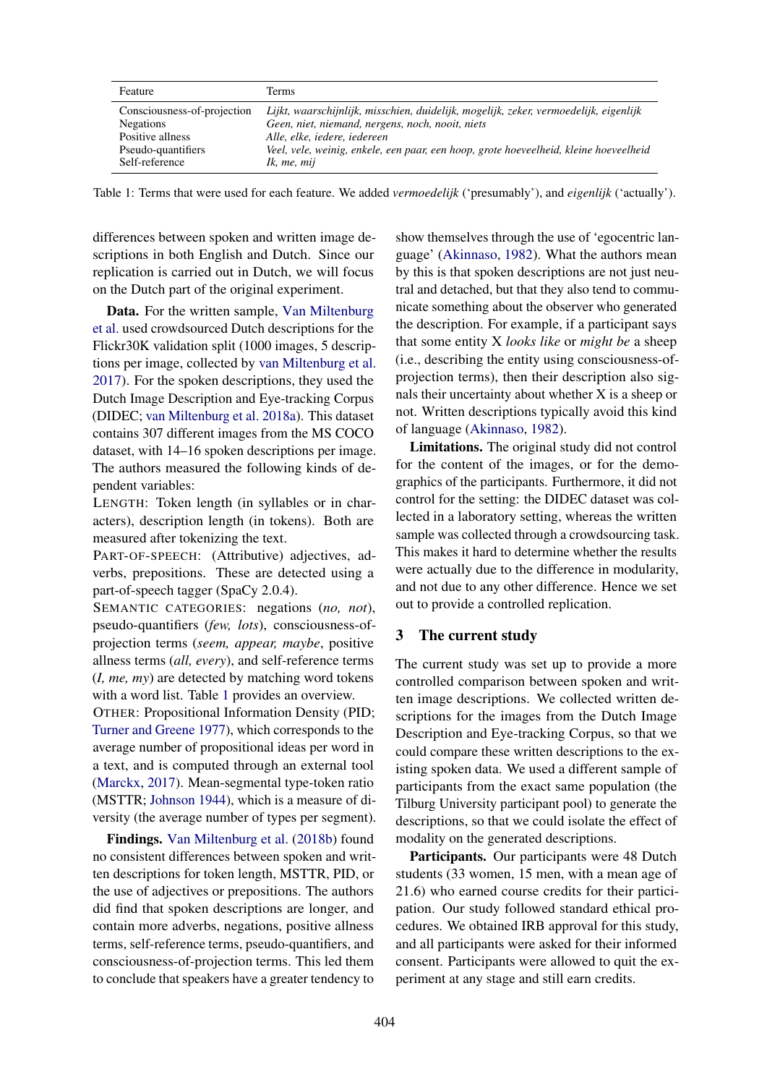<span id="page-1-0"></span>

| Feature                     | Terms                                                                                 |
|-----------------------------|---------------------------------------------------------------------------------------|
| Consciousness-of-projection | Lijkt, waarschijnlijk, misschien, duidelijk, mogelijk, zeker, vermoedelijk, eigenlijk |
| <b>Negations</b>            | Geen, niet, niemand, nergens, noch, nooit, niets                                      |
| Positive allness            | Alle, elke, iedere, iedereen                                                          |
| Pseudo-quantifiers          | Veel, vele, weinig, enkele, een paar, een hoop, grote hoeveelheid, kleine hoeveelheid |
| Self-reference              | Ik, me, mij                                                                           |

Table 1: Terms that were used for each feature. We added *vermoedelijk* ('presumably'), and *eigenlijk* ('actually').

differences between spoken and written image descriptions in both English and Dutch. Since our replication is carried out in Dutch, we will focus on the Dutch part of the original experiment.

Data. For the written sample, [Van Miltenburg](#page-5-0) [et al.](#page-5-0) used crowdsourced Dutch descriptions for the Flickr30K validation split (1000 images, 5 descriptions per image, collected by [van Miltenburg et al.](#page-5-4) [2017\)](#page-5-4). For the spoken descriptions, they used the Dutch Image Description and Eye-tracking Corpus (DIDEC; [van Miltenburg et al.](#page-5-6) [2018a\)](#page-5-6). This dataset contains 307 different images from the MS COCO dataset, with 14–16 spoken descriptions per image. The authors measured the following kinds of dependent variables:

LENGTH: Token length (in syllables or in characters), description length (in tokens). Both are measured after tokenizing the text.

PART-OF-SPEECH: (Attributive) adjectives, adverbs, prepositions. These are detected using a part-of-speech tagger (SpaCy 2.0.4).

SEMANTIC CATEGORIES: negations (*no, not*), pseudo-quantifiers (*few, lots*), consciousness-ofprojection terms (*seem, appear, maybe*, positive allness terms (*all, every*), and self-reference terms (*I, me, my*) are detected by matching word tokens with a word list. Table [1](#page-1-0) provides an overview.

OTHER: Propositional Information Density (PID; [Turner and Greene](#page-5-9) [1977\)](#page-5-9), which corresponds to the average number of propositional ideas per word in a text, and is computed through an external tool [\(Marckx,](#page-5-10) [2017\)](#page-5-10). Mean-segmental type-token ratio (MSTTR; [Johnson](#page-5-11) [1944\)](#page-5-11), which is a measure of diversity (the average number of types per segment).

Findings. [Van Miltenburg et al.](#page-5-0) [\(2018b\)](#page-5-0) found no consistent differences between spoken and written descriptions for token length, MSTTR, PID, or the use of adjectives or prepositions. The authors did find that spoken descriptions are longer, and contain more adverbs, negations, positive allness terms, self-reference terms, pseudo-quantifiers, and consciousness-of-projection terms. This led them to conclude that speakers have a greater tendency to show themselves through the use of 'egocentric language' [\(Akinnaso,](#page-4-0) [1982\)](#page-4-0). What the authors mean by this is that spoken descriptions are not just neutral and detached, but that they also tend to communicate something about the observer who generated the description. For example, if a participant says that some entity X *looks like* or *might be* a sheep (i.e., describing the entity using consciousness-ofprojection terms), then their description also signals their uncertainty about whether X is a sheep or not. Written descriptions typically avoid this kind of language [\(Akinnaso,](#page-4-0) [1982\)](#page-4-0).

Limitations. The original study did not control for the content of the images, or for the demographics of the participants. Furthermore, it did not control for the setting: the DIDEC dataset was collected in a laboratory setting, whereas the written sample was collected through a crowdsourcing task. This makes it hard to determine whether the results were actually due to the difference in modularity, and not due to any other difference. Hence we set out to provide a controlled replication.

# 3 The current study

The current study was set up to provide a more controlled comparison between spoken and written image descriptions. We collected written descriptions for the images from the Dutch Image Description and Eye-tracking Corpus, so that we could compare these written descriptions to the existing spoken data. We used a different sample of participants from the exact same population (the Tilburg University participant pool) to generate the descriptions, so that we could isolate the effect of modality on the generated descriptions.

Participants. Our participants were 48 Dutch students (33 women, 15 men, with a mean age of 21.6) who earned course credits for their participation. Our study followed standard ethical procedures. We obtained IRB approval for this study, and all participants were asked for their informed consent. Participants were allowed to quit the experiment at any stage and still earn credits.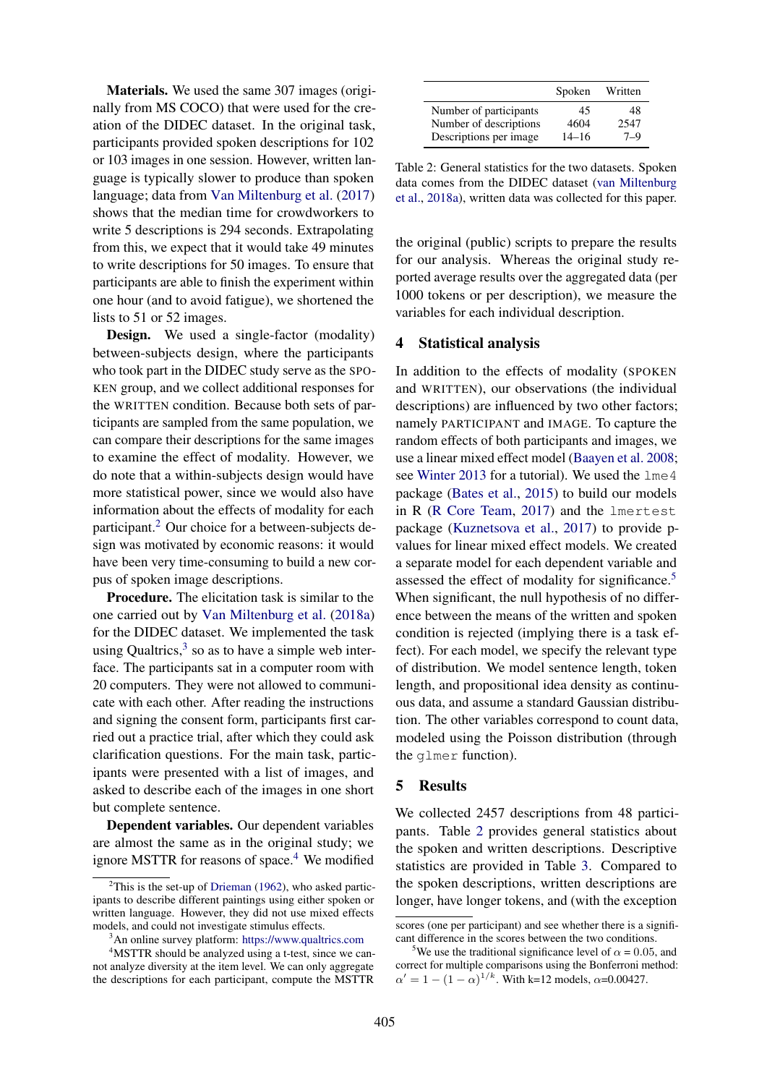Materials. We used the same 307 images (originally from MS COCO) that were used for the creation of the DIDEC dataset. In the original task, participants provided spoken descriptions for 102 or 103 images in one session. However, written language is typically slower to produce than spoken language; data from [Van Miltenburg et al.](#page-5-4) [\(2017\)](#page-5-4) shows that the median time for crowdworkers to write 5 descriptions is 294 seconds. Extrapolating from this, we expect that it would take 49 minutes to write descriptions for 50 images. To ensure that participants are able to finish the experiment within one hour (and to avoid fatigue), we shortened the lists to 51 or 52 images.

Design. We used a single-factor (modality) between-subjects design, where the participants who took part in the DIDEC study serve as the SPO-KEN group, and we collect additional responses for the WRITTEN condition. Because both sets of participants are sampled from the same population, we can compare their descriptions for the same images to examine the effect of modality. However, we do note that a within-subjects design would have more statistical power, since we would also have information about the effects of modality for each participant.[2](#page-2-0) Our choice for a between-subjects design was motivated by economic reasons: it would have been very time-consuming to build a new corpus of spoken image descriptions.

Procedure. The elicitation task is similar to the one carried out by [Van Miltenburg et al.](#page-5-6) [\(2018a\)](#page-5-6) for the DIDEC dataset. We implemented the task using Qualtrics, $3$  so as to have a simple web interface. The participants sat in a computer room with 20 computers. They were not allowed to communicate with each other. After reading the instructions and signing the consent form, participants first carried out a practice trial, after which they could ask clarification questions. For the main task, participants were presented with a list of images, and asked to describe each of the images in one short but complete sentence.

Dependent variables. Our dependent variables are almost the same as in the original study; we ignore MSTTR for reasons of space.<sup>[4](#page-2-2)</sup> We modified

<span id="page-2-4"></span>

|                         | Spoken    | Written |
|-------------------------|-----------|---------|
| Number of participants  | 45        | 48      |
| Number of descriptions  | 4604      | 2547    |
| Descriptions per image. | $14 - 16$ | $7 - 9$ |

Table 2: General statistics for the two datasets. Spoken data comes from the DIDEC dataset [\(van Miltenburg](#page-5-6) [et al.,](#page-5-6) [2018a\)](#page-5-6), written data was collected for this paper.

the original (public) scripts to prepare the results for our analysis. Whereas the original study reported average results over the aggregated data (per 1000 tokens or per description), we measure the variables for each individual description.

#### 4 Statistical analysis

In addition to the effects of modality (SPOKEN and WRITTEN), our observations (the individual descriptions) are influenced by two other factors; namely PARTICIPANT and IMAGE. To capture the random effects of both participants and images, we use a linear mixed effect model [\(Baayen et al.](#page-4-2) [2008;](#page-4-2) see [Winter](#page-5-13) [2013](#page-5-13) for a tutorial). We used the  $l$ me 4 package [\(Bates et al.,](#page-5-14) [2015\)](#page-5-14) to build our models in R [\(R Core Team,](#page-5-15) [2017\)](#page-5-15) and the lmertest package [\(Kuznetsova et al.,](#page-5-16) [2017\)](#page-5-16) to provide pvalues for linear mixed effect models. We created a separate model for each dependent variable and assessed the effect of modality for significance.<sup>[5](#page-2-3)</sup> When significant, the null hypothesis of no difference between the means of the written and spoken condition is rejected (implying there is a task effect). For each model, we specify the relevant type of distribution. We model sentence length, token length, and propositional idea density as continuous data, and assume a standard Gaussian distribution. The other variables correspond to count data, modeled using the Poisson distribution (through the glmer function).

#### 5 Results

We collected 2457 descriptions from 48 participants. Table [2](#page-2-4) provides general statistics about the spoken and written descriptions. Descriptive statistics are provided in Table [3.](#page-3-0) Compared to the spoken descriptions, written descriptions are longer, have longer tokens, and (with the exception

<span id="page-2-0"></span> $2$ This is the set-up of [Drieman](#page-5-12) [\(1962\)](#page-5-12), who asked participants to describe different paintings using either spoken or written language. However, they did not use mixed effects models, and could not investigate stimulus effects.

<span id="page-2-2"></span><span id="page-2-1"></span><sup>3</sup>An online survey platform: <https://www.qualtrics.com>

<sup>&</sup>lt;sup>4</sup>MSTTR should be analyzed using a t-test, since we cannot analyze diversity at the item level. We can only aggregate the descriptions for each participant, compute the MSTTR

scores (one per participant) and see whether there is a significant difference in the scores between the two conditions.

<span id="page-2-3"></span><sup>&</sup>lt;sup>5</sup>We use the traditional significance level of  $\alpha = 0.05$ , and correct for multiple comparisons using the Bonferroni method:  $\alpha' = 1 - (1 - \alpha)^{1/k}$ . With k=12 models,  $\alpha$ =0.00427.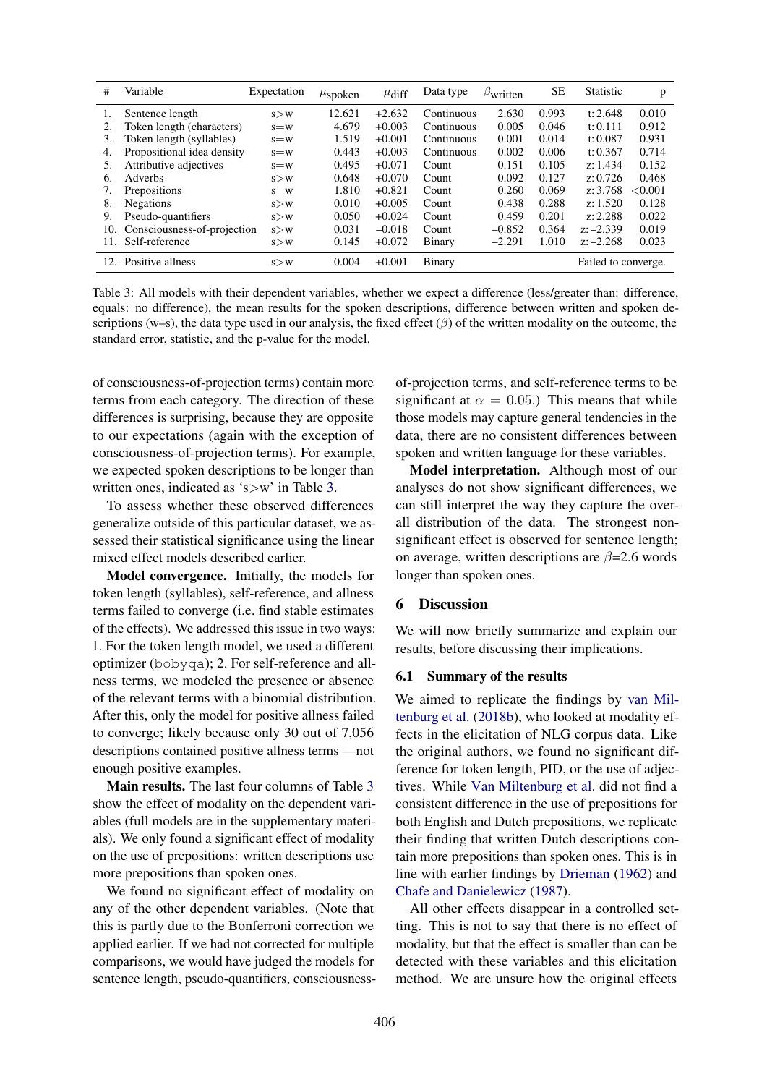<span id="page-3-0"></span>

| #   | Variable                    | Expectation | $\mu_{\text{spoken}}$ | $\mu$ diff | Data type  | $\beta$ written | SЕ    | <b>Statistic</b>    | p       |
|-----|-----------------------------|-------------|-----------------------|------------|------------|-----------------|-------|---------------------|---------|
|     | Sentence length             | s > w       | 12.621                | $+2.632$   | Continuous | 2.630           | 0.993 | t: $2.648$          | 0.010   |
| 2.  | Token length (characters)   | $s = w$     | 4.679                 | $+0.003$   | Continuous | 0.005           | 0.046 | t: $0.111$          | 0.912   |
| 3.  | Token length (syllables)    | $s = w$     | 1.519                 | $+0.001$   | Continuous | 0.001           | 0.014 | t: $0.087$          | 0.931   |
| 4.  | Propositional idea density  | $s = w$     | 0.443                 | $+0.003$   | Continuous | 0.002           | 0.006 | t: 0.367            | 0.714   |
| 5.  | Attributive adjectives      | $s = w$     | 0.495                 | $+0.071$   | Count      | 0.151           | 0.105 | z: 1.434            | 0.152   |
| 6.  | Adverbs                     | s > w       | 0.648                 | $+0.070$   | Count      | 0.092           | 0.127 | z: 0.726            | 0.468   |
| 7.  | Prepositions                | $s = w$     | 1.810                 | $+0.821$   | Count      | 0.260           | 0.069 | z: 3.768            | < 0.001 |
| 8.  | <b>Negations</b>            | s > w       | 0.010                 | $+0.005$   | Count      | 0.438           | 0.288 | z: 1.520            | 0.128   |
| 9.  | Pseudo-quantifiers          | s > w       | 0.050                 | $+0.024$   | Count      | 0.459           | 0.201 | z: 2.288            | 0.022   |
| 10. | Consciousness-of-projection | s > w       | 0.031                 | $-0.018$   | Count      | $-0.852$        | 0.364 | $z: -2.339$         | 0.019   |
| 11. | Self-reference              | s > w       | 0.145                 | $+0.072$   | Binary     | $-2.291$        | 1.010 | $z: -2.268$         | 0.023   |
| 12. | Positive allness            | s > w       | 0.004                 | $+0.001$   | Binary     |                 |       | Failed to converge. |         |

Table 3: All models with their dependent variables, whether we expect a difference (less/greater than: difference, equals: no difference), the mean results for the spoken descriptions, difference between written and spoken descriptions (w–s), the data type used in our analysis, the fixed effect  $(\beta)$  of the written modality on the outcome, the standard error, statistic, and the p-value for the model.

of consciousness-of-projection terms) contain more terms from each category. The direction of these differences is surprising, because they are opposite to our expectations (again with the exception of consciousness-of-projection terms). For example, we expected spoken descriptions to be longer than written ones, indicated as 's > w' in Table [3.](#page-3-0)

To assess whether these observed differences generalize outside of this particular dataset, we assessed their statistical significance using the linear mixed effect models described earlier.

Model convergence. Initially, the models for token length (syllables), self-reference, and allness terms failed to converge (i.e. find stable estimates of the effects). We addressed this issue in two ways: 1. For the token length model, we used a different optimizer (bobyqa); 2. For self-reference and allness terms, we modeled the presence or absence of the relevant terms with a binomial distribution. After this, only the model for positive allness failed to converge; likely because only 30 out of 7,056 descriptions contained positive allness terms —not enough positive examples.

Main results. The last four columns of Table [3](#page-3-0) show the effect of modality on the dependent variables (full models are in the supplementary materials). We only found a significant effect of modality on the use of prepositions: written descriptions use more prepositions than spoken ones.

We found no significant effect of modality on any of the other dependent variables. (Note that this is partly due to the Bonferroni correction we applied earlier. If we had not corrected for multiple comparisons, we would have judged the models for sentence length, pseudo-quantifiers, consciousness-

of-projection terms, and self-reference terms to be significant at  $\alpha = 0.05$ .) This means that while those models may capture general tendencies in the data, there are no consistent differences between spoken and written language for these variables.

Model interpretation. Although most of our analyses do not show significant differences, we can still interpret the way they capture the overall distribution of the data. The strongest nonsignificant effect is observed for sentence length; on average, written descriptions are  $\beta$ =2.6 words longer than spoken ones.

# 6 Discussion

We will now briefly summarize and explain our results, before discussing their implications.

## 6.1 Summary of the results

We aimed to replicate the findings by [van Mil](#page-5-0)[tenburg et al.](#page-5-0) [\(2018b\)](#page-5-0), who looked at modality effects in the elicitation of NLG corpus data. Like the original authors, we found no significant difference for token length, PID, or the use of adjectives. While [Van Miltenburg et al.](#page-5-0) did not find a consistent difference in the use of prepositions for both English and Dutch prepositions, we replicate their finding that written Dutch descriptions contain more prepositions than spoken ones. This is in line with earlier findings by [Drieman](#page-5-12) [\(1962\)](#page-5-12) and [Chafe and Danielewicz](#page-5-17) [\(1987\)](#page-5-17).

All other effects disappear in a controlled setting. This is not to say that there is no effect of modality, but that the effect is smaller than can be detected with these variables and this elicitation method. We are unsure how the original effects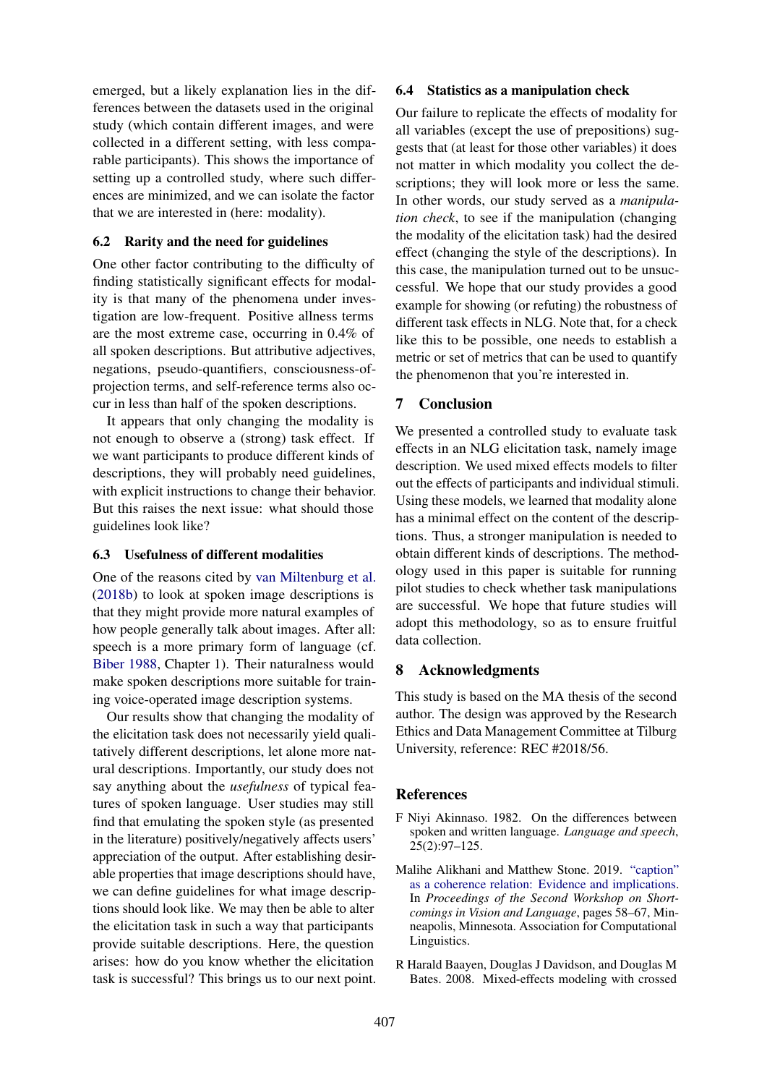emerged, but a likely explanation lies in the differences between the datasets used in the original study (which contain different images, and were collected in a different setting, with less comparable participants). This shows the importance of setting up a controlled study, where such differences are minimized, and we can isolate the factor that we are interested in (here: modality).

## 6.2 Rarity and the need for guidelines

One other factor contributing to the difficulty of finding statistically significant effects for modality is that many of the phenomena under investigation are low-frequent. Positive allness terms are the most extreme case, occurring in 0.4% of all spoken descriptions. But attributive adjectives, negations, pseudo-quantifiers, consciousness-ofprojection terms, and self-reference terms also occur in less than half of the spoken descriptions.

It appears that only changing the modality is not enough to observe a (strong) task effect. If we want participants to produce different kinds of descriptions, they will probably need guidelines, with explicit instructions to change their behavior. But this raises the next issue: what should those guidelines look like?

## 6.3 Usefulness of different modalities

One of the reasons cited by [van Miltenburg et al.](#page-5-0) [\(2018b\)](#page-5-0) to look at spoken image descriptions is that they might provide more natural examples of how people generally talk about images. After all: speech is a more primary form of language (cf. [Biber](#page-5-18) [1988,](#page-5-18) Chapter 1). Their naturalness would make spoken descriptions more suitable for training voice-operated image description systems.

Our results show that changing the modality of the elicitation task does not necessarily yield qualitatively different descriptions, let alone more natural descriptions. Importantly, our study does not say anything about the *usefulness* of typical features of spoken language. User studies may still find that emulating the spoken style (as presented in the literature) positively/negatively affects users' appreciation of the output. After establishing desirable properties that image descriptions should have, we can define guidelines for what image descriptions should look like. We may then be able to alter the elicitation task in such a way that participants provide suitable descriptions. Here, the question arises: how do you know whether the elicitation task is successful? This brings us to our next point.

### 6.4 Statistics as a manipulation check

Our failure to replicate the effects of modality for all variables (except the use of prepositions) suggests that (at least for those other variables) it does not matter in which modality you collect the descriptions; they will look more or less the same. In other words, our study served as a *manipulation check*, to see if the manipulation (changing the modality of the elicitation task) had the desired effect (changing the style of the descriptions). In this case, the manipulation turned out to be unsuccessful. We hope that our study provides a good example for showing (or refuting) the robustness of different task effects in NLG. Note that, for a check like this to be possible, one needs to establish a metric or set of metrics that can be used to quantify the phenomenon that you're interested in.

# 7 Conclusion

We presented a controlled study to evaluate task effects in an NLG elicitation task, namely image description. We used mixed effects models to filter out the effects of participants and individual stimuli. Using these models, we learned that modality alone has a minimal effect on the content of the descriptions. Thus, a stronger manipulation is needed to obtain different kinds of descriptions. The methodology used in this paper is suitable for running pilot studies to check whether task manipulations are successful. We hope that future studies will adopt this methodology, so as to ensure fruitful data collection.

# 8 Acknowledgments

This study is based on the MA thesis of the second author. The design was approved by the Research Ethics and Data Management Committee at Tilburg University, reference: REC #2018/56.

## References

- <span id="page-4-0"></span>F Niyi Akinnaso. 1982. On the differences between spoken and written language. *Language and speech*, 25(2):97–125.
- <span id="page-4-1"></span>Malihe Alikhani and Matthew Stone. 2019. ["caption"](https://www.aclweb.org/anthology/W19-1806) [as a coherence relation: Evidence and implications.](https://www.aclweb.org/anthology/W19-1806) In *Proceedings of the Second Workshop on Shortcomings in Vision and Language*, pages 58–67, Minneapolis, Minnesota. Association for Computational Linguistics.
- <span id="page-4-2"></span>R Harald Baayen, Douglas J Davidson, and Douglas M Bates. 2008. Mixed-effects modeling with crossed